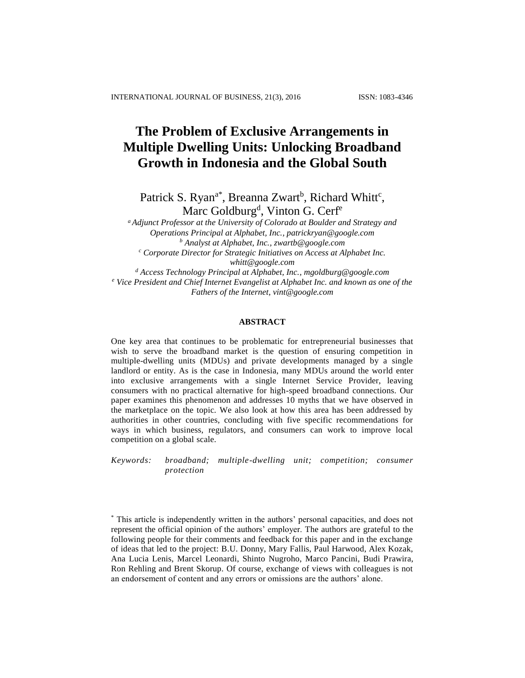# **The Problem of Exclusive Arrangements in Multiple Dwelling Units: Unlocking Broadband Growth in Indonesia and the Global South**

Patrick S. Ryan<sup>a\*</sup>, Breanna Zwart<sup>b</sup>, Richard Whitt<sup>c</sup>, Marc Goldburg<sup>d</sup>, Vinton G. Cerf<sup>e</sup>

*<sup>a</sup>Adjunct Professor at the University of Colorado at Boulder and Strategy and Operations Principal at Alphabet, Inc.[, patrickryan@google.com](mailto:patrickryan@google.com) <sup>b</sup> Analyst at Alphabet, Inc.[, zwartb@google.com](mailto:zwartb@google.com) <sup>c</sup> Corporate Director for Strategic Initiatives on Access at Alphabet Inc.*

*[whitt@google.com](mailto:whitt@google.com)*

*<sup>d</sup> Access Technology Principal at Alphabet, Inc.[, mgoldburg@google.com](mailto:mgoldburg@google.com) <sup>e</sup> Vice President and Chief Internet Evangelist at Alphabet Inc. and known as one of the Fathers of the Internet, [vint@google.com](mailto:vint@google.com)*

## **ABSTRACT**

One key area that continues to be problematic for entrepreneurial businesses that wish to serve the broadband market is the question of ensuring competition in multiple-dwelling units (MDUs) and private developments managed by a single landlord or entity. As is the case in Indonesia, many MDUs around the world enter into exclusive arrangements with a single Internet Service Provider, leaving consumers with no practical alternative for high-speed broadband connections. Our paper examines this phenomenon and addresses 10 myths that we have observed in the marketplace on the topic. We also look at how this area has been addressed by authorities in other countries, concluding with five specific recommendations for ways in which business, regulators, and consumers can work to improve local competition on a global scale.

*Keywords: broadband; multiple-dwelling unit; competition; consumer protection*

<sup>\*</sup> This article is independently written in the authors' personal capacities, and does not represent the official opinion of the authors' employer. The authors are grateful to the following people for their comments and feedback for this paper and in the exchange of ideas that led to the project: B.U. Donny, Mary Fallis, Paul Harwood, Alex Kozak, Ana Lucia Lenis, Marcel Leonardi, Shinto Nugroho, Marco Pancini, Budi Prawira, Ron Rehling and Brent Skorup. Of course, exchange of views with colleagues is not an endorsement of content and any errors or omissions are the authors' alone.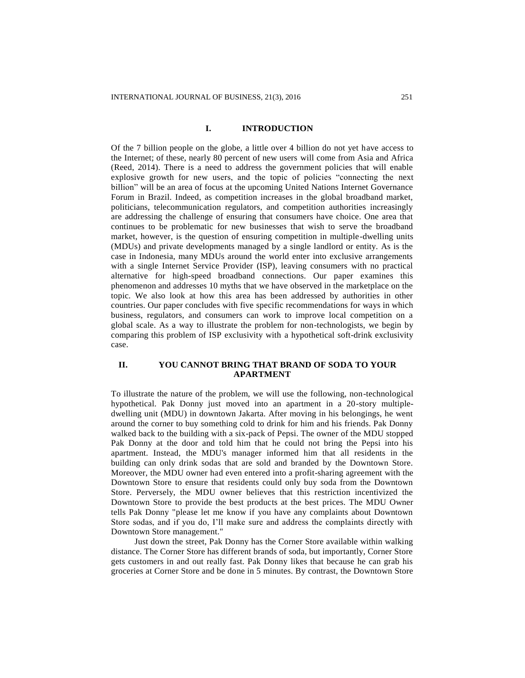### **I. INTRODUCTION**

Of the 7 billion people on the globe, a little over 4 billion do not yet have access to the Internet; of these, nearly 80 percent of new users will come from Asia and Africa (Reed, 2014). There is a need to address the government policies that will enable explosive growth for new users, and the topic of policies "connecting the next billion" will be an area of focus at the upcoming United Nations Internet Governance Forum in Brazil. Indeed, as competition increases in the global broadband market, politicians, telecommunication regulators, and competition authorities increasingly are addressing the challenge of ensuring that consumers have choice. One area that continues to be problematic for new businesses that wish to serve the broadband market, however, is the question of ensuring competition in multiple-dwelling units (MDUs) and private developments managed by a single landlord or entity. As is the case in Indonesia, many MDUs around the world enter into exclusive arrangements with a single Internet Service Provider (ISP), leaving consumers with no practical alternative for high-speed broadband connections. Our paper examines this phenomenon and addresses 10 myths that we have observed in the marketplace on the topic. We also look at how this area has been addressed by authorities in other countries. Our paper concludes with five specific recommendations for ways in which business, regulators, and consumers can work to improve local competition on a global scale. As a way to illustrate the problem for non-technologists, we begin by comparing this problem of ISP exclusivity with a hypothetical soft-drink exclusivity case.

# **II. YOU CANNOT BRING THAT BRAND OF SODA TO YOUR APARTMENT**

To illustrate the nature of the problem, we will use the following, non-technological hypothetical. Pak Donny just moved into an apartment in a 20-story multipledwelling unit (MDU) in downtown Jakarta. After moving in his belongings, he went around the corner to buy something cold to drink for him and his friends. Pak Donny walked back to the building with a six-pack of Pepsi. The owner of the MDU stopped Pak Donny at the door and told him that he could not bring the Pepsi into his apartment. Instead, the MDU's manager informed him that all residents in the building can only drink sodas that are sold and branded by the Downtown Store. Moreover, the MDU owner had even entered into a profit-sharing agreement with the Downtown Store to ensure that residents could only buy soda from the Downtown Store. Perversely, the MDU owner believes that this restriction incentivized the Downtown Store to provide the best products at the best prices. The MDU Owner tells Pak Donny "please let me know if you have any complaints about Downtown Store sodas, and if you do, I'll make sure and address the complaints directly with Downtown Store management."

Just down the street, Pak Donny has the Corner Store available within walking distance. The Corner Store has different brands of soda, but importantly, Corner Store gets customers in and out really fast. Pak Donny likes that because he can grab his groceries at Corner Store and be done in 5 minutes. By contrast, the Downtown Store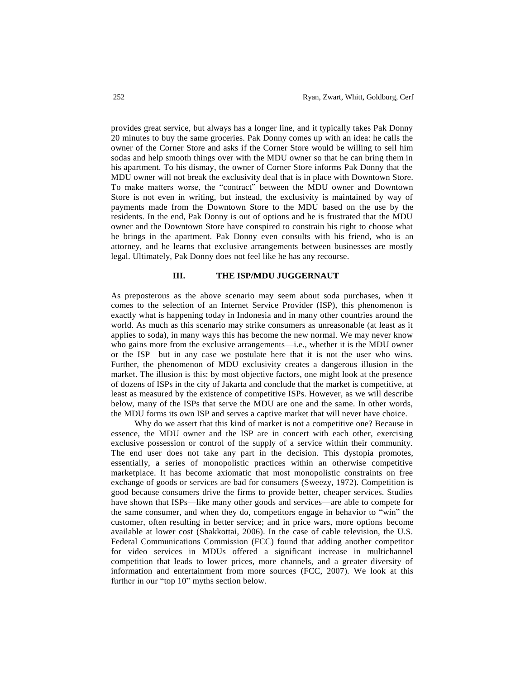provides great service, but always has a longer line, and it typically takes Pak Donny 20 minutes to buy the same groceries. Pak Donny comes up with an idea: he calls the owner of the Corner Store and asks if the Corner Store would be willing to sell him sodas and help smooth things over with the MDU owner so that he can bring them in his apartment. To his dismay, the owner of Corner Store informs Pak Donny that the MDU owner will not break the exclusivity deal that is in place with Downtown Store. To make matters worse, the "contract" between the MDU owner and Downtown Store is not even in writing, but instead, the exclusivity is maintained by way of payments made from the Downtown Store to the MDU based on the use by the residents. In the end, Pak Donny is out of options and he is frustrated that the MDU owner and the Downtown Store have conspired to constrain his right to choose what he brings in the apartment. Pak Donny even consults with his friend, who is an attorney, and he learns that exclusive arrangements between businesses are mostly legal. Ultimately, Pak Donny does not feel like he has any recourse.

#### **III. THE ISP/MDU JUGGERNAUT**

As preposterous as the above scenario may seem about soda purchases, when it comes to the selection of an Internet Service Provider (ISP), this phenomenon is exactly what is happening today in Indonesia and in many other countries around the world. As much as this scenario may strike consumers as unreasonable (at least as it applies to soda), in many ways this has become the new normal. We may never know who gains more from the exclusive arrangements—i.e., whether it is the MDU owner or the ISP—but in any case we postulate here that it is not the user who wins. Further, the phenomenon of MDU exclusivity creates a dangerous illusion in the market. The illusion is this: by most objective factors, one might look at the presence of dozens of ISPs in the city of Jakarta and conclude that the market is competitive, at least as measured by the existence of competitive ISPs. However, as we will describe below, many of the ISPs that serve the MDU are one and the same. In other words, the MDU forms its own ISP and serves a captive market that will never have choice.

Why do we assert that this kind of market is not a competitive one? Because in essence, the MDU owner and the ISP are in concert with each other, exercising exclusive possession or control of the supply of a service within their community. The end user does not take any part in the decision. This dystopia promotes, essentially, a series of monopolistic practices within an otherwise competitive marketplace. It has become axiomatic that most monopolistic constraints on free exchange of goods or services are bad for consumers (Sweezy, 1972). Competition is good because consumers drive the firms to provide better, cheaper services. Studies have shown that ISPs—like many other goods and services—are able to compete for the same consumer, and when they do, competitors engage in behavior to "win" the customer, often resulting in better service; and in price wars, more options become available at lower cost (Shakkottai, 2006). In the case of cable television, the U.S. Federal Communications Commission (FCC) found that adding another competitor for video services in MDUs offered a significant increase in multichannel competition that leads to lower prices, more channels, and a greater diversity of information and entertainment from more sources (FCC, 2007). We look at this further in our "top 10" myths section below.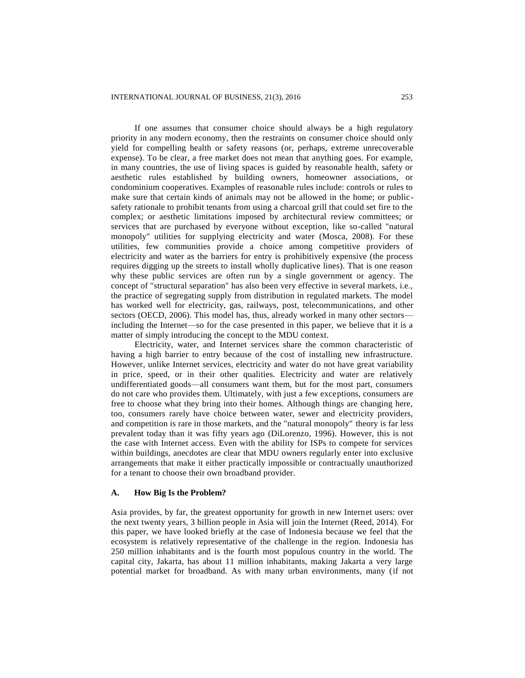If one assumes that consumer choice should always be a high regulatory priority in any modern economy, then the restraints on consumer choice should only yield for compelling health or safety reasons (or, perhaps, extreme unrecoverable expense). To be clear, a free market does not mean that anything goes. For example, in many countries, the use of living spaces is guided by reasonable health, safety or aesthetic rules established by building owners, homeowner associations, or condominium cooperatives. Examples of reasonable rules include: controls or rules to make sure that certain kinds of animals may not be allowed in the home; or publicsafety rationale to prohibit tenants from using a charcoal grill that could set fire to the complex; or aesthetic limitations imposed by architectural review committees; or services that are purchased by everyone without exception, like so-called "natural monopoly" utilities for supplying electricity and water (Mosca, 2008). For these utilities, few communities provide a choice among competitive providers of electricity and water as the barriers for entry is prohibitively expensive (the process requires digging up the streets to install wholly duplicative lines). That is one reason why these public services are often run by a single government or agency. The concept of "structural separation" has also been very effective in several markets, i.e., the practice of segregating supply from distribution in regulated markets. The model has worked well for electricity, gas, railways, post, telecommunications, and other sectors (OECD, 2006). This model has, thus, already worked in many other sectors including the Internet—so for the case presented in this paper, we believe that it is a matter of simply introducing the concept to the MDU context.

Electricity, water, and Internet services share the common characteristic of having a high barrier to entry because of the cost of installing new infrastructure. However, unlike Internet services, electricity and water do not have great variability in price, speed, or in their other qualities. Electricity and water are relatively undifferentiated goods—all consumers want them, but for the most part, consumers do not care who provides them. Ultimately, with just a few exceptions, consumers are free to choose what they bring into their homes. Although things are changing here, too, consumers rarely have choice between water, sewer and electricity providers, and competition is rare in those markets, and the "natural monopoly" theory is far less prevalent today than it was fifty years ago (DiLorenzo, 1996). However, this is not the case with Internet access. Even with the ability for ISPs to compete for services within buildings, anecdotes are clear that MDU owners regularly enter into exclusive arrangements that make it either practically impossible or contractually unauthorized for a tenant to choose their own broadband provider.

#### **A. How Big Is the Problem?**

Asia provides, by far, the greatest opportunity for growth in new Internet users: over the next twenty years, 3 billion people in Asia will join the Internet (Reed, 2014). For this paper, we have looked briefly at the case of Indonesia because we feel that the ecosystem is relatively representative of the challenge in the region. Indonesia has 250 million inhabitants and is the fourth most populous country in the world. The capital city, Jakarta, has about 11 million inhabitants, making Jakarta a very large potential market for broadband. As with many urban environments, many (if not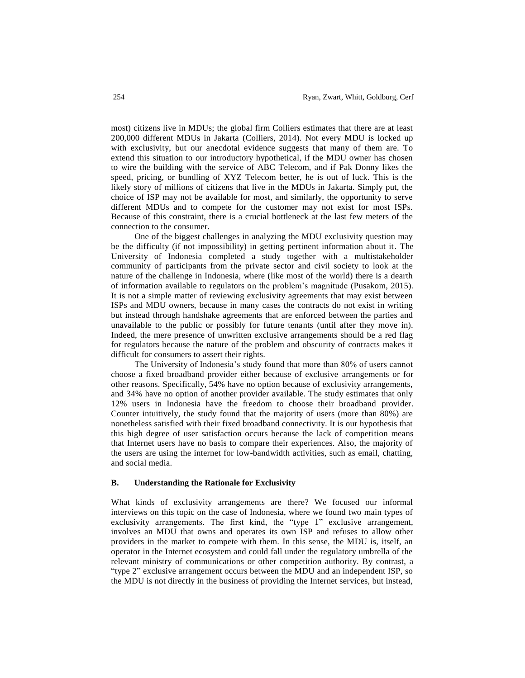most) citizens live in MDUs; the global firm Colliers estimates that there are at least 200,000 different MDUs in Jakarta (Colliers, 2014). Not every MDU is locked up with exclusivity, but our anecdotal evidence suggests that many of them are. To extend this situation to our introductory hypothetical, if the MDU owner has chosen to wire the building with the service of ABC Telecom, and if Pak Donny likes the speed, pricing, or bundling of XYZ Telecom better, he is out of luck. This is the likely story of millions of citizens that live in the MDUs in Jakarta. Simply put, the choice of ISP may not be available for most, and similarly, the opportunity to serve different MDUs and to compete for the customer may not exist for most ISPs. Because of this constraint, there is a crucial bottleneck at the last few meters of the connection to the consumer.

One of the biggest challenges in analyzing the MDU exclusivity question may be the difficulty (if not impossibility) in getting pertinent information about it. The University of Indonesia completed a study together with a multistakeholder community of participants from the private sector and civil society to look at the nature of the challenge in Indonesia, where (like most of the world) there is a dearth of information available to regulators on the problem's magnitude (Pusakom, 2015). It is not a simple matter of reviewing exclusivity agreements that may exist between ISPs and MDU owners, because in many cases the contracts do not exist in writing but instead through handshake agreements that are enforced between the parties and unavailable to the public or possibly for future tenants (until after they move in). Indeed, the mere presence of unwritten exclusive arrangements should be a red flag for regulators because the nature of the problem and obscurity of contracts makes it difficult for consumers to assert their rights.

The University of Indonesia's study found that more than 80% of users cannot choose a fixed broadband provider either because of exclusive arrangements or for other reasons. Specifically, 54% have no option because of exclusivity arrangements, and 34% have no option of another provider available. The study estimates that only 12% users in Indonesia have the freedom to choose their broadband provider. Counter intuitively, the study found that the majority of users (more than 80%) are nonetheless satisfied with their fixed broadband connectivity. It is our hypothesis that this high degree of user satisfaction occurs because the lack of competition means that Internet users have no basis to compare their experiences. Also, the majority of the users are using the internet for low-bandwidth activities, such as email, chatting, and social media.

#### **B. Understanding the Rationale for Exclusivity**

What kinds of exclusivity arrangements are there? We focused our informal interviews on this topic on the case of Indonesia, where we found two main types of exclusivity arrangements. The first kind, the "type 1" exclusive arrangement, involves an MDU that owns and operates its own ISP and refuses to allow other providers in the market to compete with them. In this sense, the MDU is, itself, an operator in the Internet ecosystem and could fall under the regulatory umbrella of the relevant ministry of communications or other competition authority. By contrast, a "type 2" exclusive arrangement occurs between the MDU and an independent ISP, so the MDU is not directly in the business of providing the Internet services, but instead,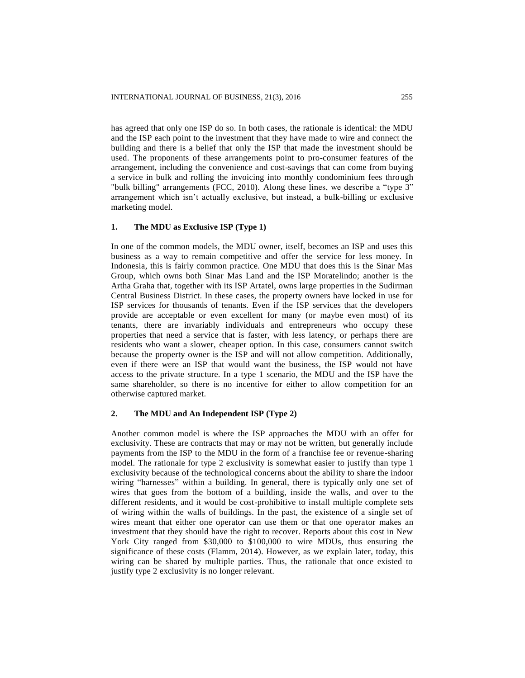has agreed that only one ISP do so. In both cases, the rationale is identical: the MDU and the ISP each point to the investment that they have made to wire and connect the building and there is a belief that only the ISP that made the investment should be used. The proponents of these arrangements point to pro-consumer features of the arrangement, including the convenience and cost-savings that can come from buying a service in bulk and rolling the invoicing into monthly condominium fees through "bulk billing" arrangements (FCC, 2010). Along these lines, we describe a "type 3" arrangement which isn't actually exclusive, but instead, a bulk-billing or exclusive marketing model.

## **1. The MDU as Exclusive ISP (Type 1)**

In one of the common models, the MDU owner, itself, becomes an ISP and uses this business as a way to remain competitive and offer the service for less money. In Indonesia, this is fairly common practice. One MDU that does this is the Sinar Mas Group, which owns both Sinar Mas Land and the ISP Moratelindo; another is the Artha Graha that, together with its ISP Artatel, owns large properties in the Sudirman Central Business District. In these cases, the property owners have locked in use for ISP services for thousands of tenants. Even if the ISP services that the developers provide are acceptable or even excellent for many (or maybe even most) of its tenants, there are invariably individuals and entrepreneurs who occupy these properties that need a service that is faster, with less latency, or perhaps there are residents who want a slower, cheaper option. In this case, consumers cannot switch because the property owner is the ISP and will not allow competition. Additionally, even if there were an ISP that would want the business, the ISP would not have access to the private structure. In a type 1 scenario, the MDU and the ISP have the same shareholder, so there is no incentive for either to allow competition for an otherwise captured market.

## **2. The MDU and An Independent ISP (Type 2)**

Another common model is where the ISP approaches the MDU with an offer for exclusivity. These are contracts that may or may not be written, but generally include payments from the ISP to the MDU in the form of a franchise fee or revenue-sharing model. The rationale for type 2 exclusivity is somewhat easier to justify than type 1 exclusivity because of the technological concerns about the ability to share the indoor wiring "harnesses" within a building. In general, there is typically only one set of wires that goes from the bottom of a building, inside the walls, and over to the different residents, and it would be cost-prohibitive to install multiple complete sets of wiring within the walls of buildings. In the past, the existence of a single set of wires meant that either one operator can use them or that one operator makes an investment that they should have the right to recover. Reports about this cost in New York City ranged from \$30,000 to \$100,000 to wire MDUs, thus ensuring the significance of these costs (Flamm, 2014). However, as we explain later, today, this wiring can be shared by multiple parties. Thus, the rationale that once existed to justify type 2 exclusivity is no longer relevant.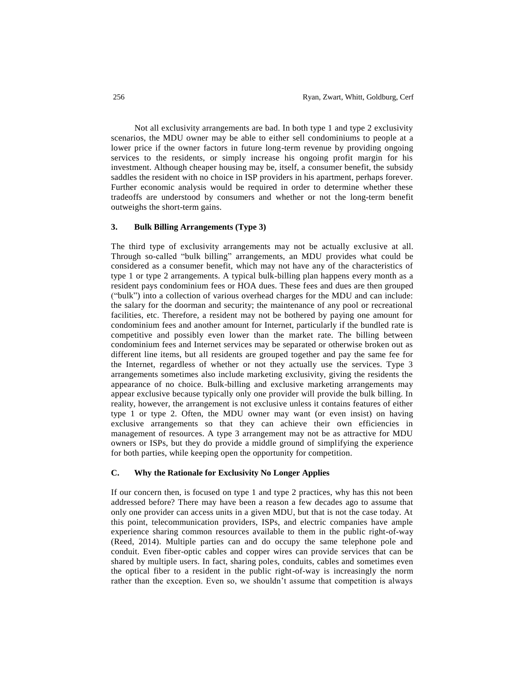Not all exclusivity arrangements are bad. In both type 1 and type 2 exclusivity scenarios, the MDU owner may be able to either sell condominiums to people at a lower price if the owner factors in future long-term revenue by providing ongoing services to the residents, or simply increase his ongoing profit margin for his investment. Although cheaper housing may be, itself, a consumer benefit, the subsidy saddles the resident with no choice in ISP providers in his apartment, perhaps forever. Further economic analysis would be required in order to determine whether these tradeoffs are understood by consumers and whether or not the long-term benefit outweighs the short-term gains.

## **3. Bulk Billing Arrangements (Type 3)**

The third type of exclusivity arrangements may not be actually exclusive at all. Through so-called "bulk billing" arrangements, an MDU provides what could be considered as a consumer benefit, which may not have any of the characteristics of type 1 or type 2 arrangements. A typical bulk-billing plan happens every month as a resident pays condominium fees or HOA dues. These fees and dues are then grouped ("bulk") into a collection of various overhead charges for the MDU and can include: the salary for the doorman and security; the maintenance of any pool or recreational facilities, etc. Therefore, a resident may not be bothered by paying one amount for condominium fees and another amount for Internet, particularly if the bundled rate is competitive and possibly even lower than the market rate. The billing between condominium fees and Internet services may be separated or otherwise broken out as different line items, but all residents are grouped together and pay the same fee for the Internet, regardless of whether or not they actually use the services. Type 3 arrangements sometimes also include marketing exclusivity, giving the residents the appearance of no choice. Bulk-billing and exclusive marketing arrangements may appear exclusive because typically only one provider will provide the bulk billing. In reality, however, the arrangement is not exclusive unless it contains features of either type 1 or type 2. Often, the MDU owner may want (or even insist) on having exclusive arrangements so that they can achieve their own efficiencies in management of resources. A type 3 arrangement may not be as attractive for MDU owners or ISPs, but they do provide a middle ground of simplifying the experience for both parties, while keeping open the opportunity for competition.

## **C. Why the Rationale for Exclusivity No Longer Applies**

If our concern then, is focused on type 1 and type 2 practices, why has this not been addressed before? There may have been a reason a few decades ago to assume that only one provider can access units in a given MDU, but that is not the case today. At this point, telecommunication providers, ISPs, and electric companies have ample experience sharing common resources available to them in the public right-of-way (Reed, 2014). Multiple parties can and do occupy the same telephone pole and conduit. Even fiber-optic cables and copper wires can provide services that can be shared by multiple users. In fact, sharing poles, conduits, cables and sometimes even the optical fiber to a resident in the public right-of-way is increasingly the norm rather than the exception. Even so, we shouldn't assume that competition is always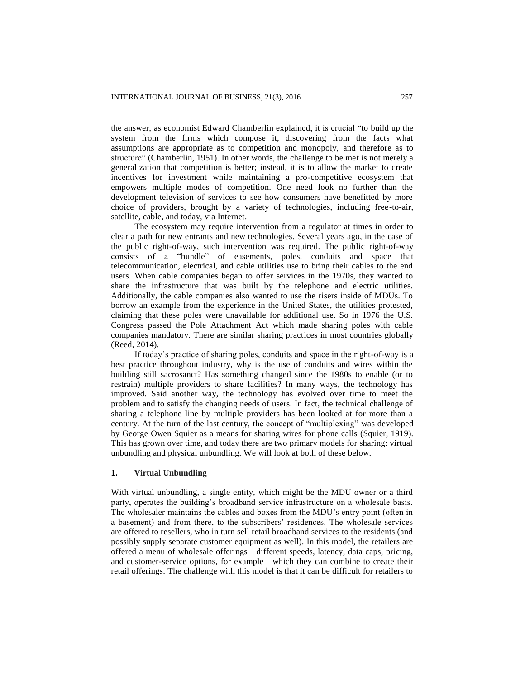the answer, as economist Edward Chamberlin explained, it is crucial "to build up the system from the firms which compose it, discovering from the facts what assumptions are appropriate as to competition and monopoly, and therefore as to structure" (Chamberlin, 1951). In other words, the challenge to be met is not merely a generalization that competition is better; instead, it is to allow the market to create incentives for investment while maintaining a pro-competitive ecosystem that empowers multiple modes of competition. One need look no further than the development television of services to see how consumers have benefitted by more choice of providers, brought by a variety of technologies, including free-to-air, satellite, cable, and today, via Internet.

The ecosystem may require intervention from a regulator at times in order to clear a path for new entrants and new technologies. Several years ago, in the case of the public right-of-way, such intervention was required. The public right-of-way consists of a "bundle" of easements, poles, conduits and space that telecommunication, electrical, and cable utilities use to bring their cables to the end users. When cable companies began to offer services in the 1970s, they wanted to share the infrastructure that was built by the telephone and electric utilities. Additionally, the cable companies also wanted to use the risers inside of MDUs. To borrow an example from the experience in the United States, the utilities protested, claiming that these poles were unavailable for additional use. So in 1976 the U.S. Congress passed the Pole Attachment Act which made sharing poles with cable companies mandatory. There are similar sharing practices in most countries globally (Reed, 2014).

If today's practice of sharing poles, conduits and space in the right-of-way is a best practice throughout industry, why is the use of conduits and wires within the building still sacrosanct? Has something changed since the 1980s to enable (or to restrain) multiple providers to share facilities? In many ways, the technology has improved. Said another way, the technology has evolved over time to meet the problem and to satisfy the changing needs of users. In fact, the technical challenge of sharing a telephone line by multiple providers has been looked at for more than a century. At the turn of the last century, the concept of "multiplexing" was developed by George Owen Squier as a means for sharing wires for phone calls (Squier, 1919). This has grown over time, and today there are two primary models for sharing: virtual unbundling and physical unbundling. We will look at both of these below.

#### **1. Virtual Unbundling**

With virtual unbundling, a single entity, which might be the MDU owner or a third party, operates the building's broadband service infrastructure on a wholesale basis. The wholesaler maintains the cables and boxes from the MDU's entry point (often in a basement) and from there, to the subscribers' residences. The wholesale services are offered to resellers, who in turn sell retail broadband services to the residents (and possibly supply separate customer equipment as well). In this model, the retailers are offered a menu of wholesale offerings—different speeds, latency, data caps, pricing, and customer-service options, for example—which they can combine to create their retail offerings. The challenge with this model is that it can be difficult for retailers to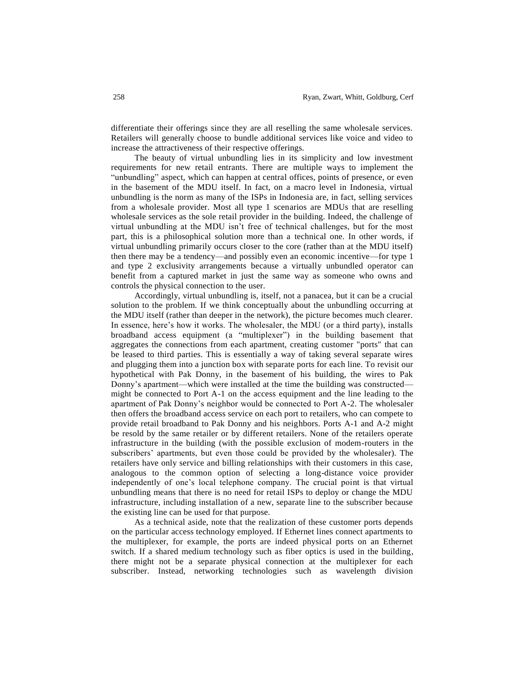differentiate their offerings since they are all reselling the same wholesale services. Retailers will generally choose to bundle additional services like voice and video to increase the attractiveness of their respective offerings.

The beauty of virtual unbundling lies in its simplicity and low investment requirements for new retail entrants. There are multiple ways to implement the "unbundling" aspect, which can happen at central offices, points of presence, or even in the basement of the MDU itself. In fact, on a macro level in Indonesia, virtual unbundling is the norm as many of the ISPs in Indonesia are, in fact, selling services from a wholesale provider. Most all type 1 scenarios are MDUs that are reselling wholesale services as the sole retail provider in the building. Indeed, the challenge of virtual unbundling at the MDU isn't free of technical challenges, but for the most part, this is a philosophical solution more than a technical one. In other words, if virtual unbundling primarily occurs closer to the core (rather than at the MDU itself) then there may be a tendency—and possibly even an economic incentive—for type 1 and type 2 exclusivity arrangements because a virtually unbundled operator can benefit from a captured market in just the same way as someone who owns and controls the physical connection to the user.

Accordingly, virtual unbundling is, itself, not a panacea, but it can be a crucial solution to the problem. If we think conceptually about the unbundling occurring at the MDU itself (rather than deeper in the network), the picture becomes much clearer. In essence, here's how it works. The wholesaler, the MDU (or a third party), installs broadband access equipment (a "multiplexer") in the building basement that aggregates the connections from each apartment, creating customer "ports" that can be leased to third parties. This is essentially a way of taking several separate wires and plugging them into a junction box with separate ports for each line. To revisit our hypothetical with Pak Donny, in the basement of his building, the wires to Pak Donny's apartment—which were installed at the time the building was constructed might be connected to Port A-1 on the access equipment and the line leading to the apartment of Pak Donny's neighbor would be connected to Port A-2. The wholesaler then offers the broadband access service on each port to retailers, who can compete to provide retail broadband to Pak Donny and his neighbors. Ports A-1 and A-2 might be resold by the same retailer or by different retailers. None of the retailers operate infrastructure in the building (with the possible exclusion of modem-routers in the subscribers' apartments, but even those could be provided by the wholesaler). The retailers have only service and billing relationships with their customers in this case, analogous to the common option of selecting a long-distance voice provider independently of one's local telephone company. The crucial point is that virtual unbundling means that there is no need for retail ISPs to deploy or change the MDU infrastructure, including installation of a new, separate line to the subscriber because the existing line can be used for that purpose.

As a technical aside, note that the realization of these customer ports depends on the particular access technology employed. If Ethernet lines connect apartments to the multiplexer, for example, the ports are indeed physical ports on an Ethernet switch. If a shared medium technology such as fiber optics is used in the building, there might not be a separate physical connection at the multiplexer for each subscriber. Instead, networking technologies such as wavelength division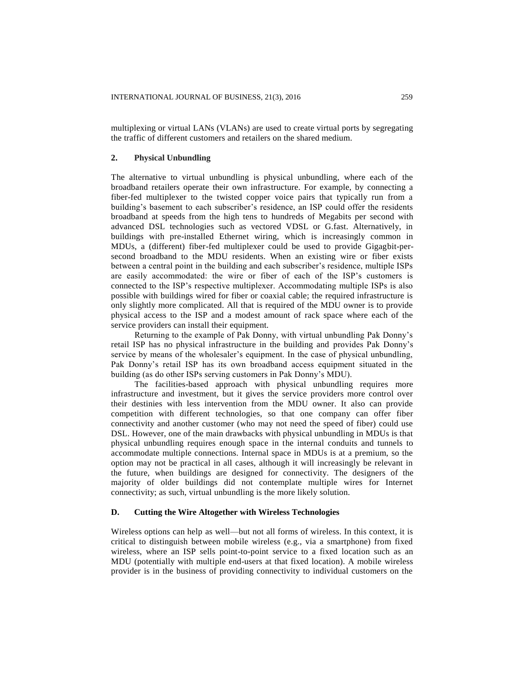multiplexing or virtual LANs (VLANs) are used to create virtual ports by segregating the traffic of different customers and retailers on the shared medium.

#### **2. Physical Unbundling**

The alternative to virtual unbundling is physical unbundling, where each of the broadband retailers operate their own infrastructure. For example, by connecting a fiber-fed multiplexer to the twisted copper voice pairs that typically run from a building's basement to each subscriber's residence, an ISP could offer the residents broadband at speeds from the high tens to hundreds of Megabits per second with advanced DSL technologies such as vectored VDSL or G.fast. Alternatively, in buildings with pre-installed Ethernet wiring, which is increasingly common in MDUs, a (different) fiber-fed multiplexer could be used to provide Gigagbit-persecond broadband to the MDU residents. When an existing wire or fiber exists between a central point in the building and each subscriber's residence, multiple ISPs are easily accommodated: the wire or fiber of each of the ISP's customers is connected to the ISP's respective multiplexer. Accommodating multiple ISPs is also possible with buildings wired for fiber or coaxial cable; the required infrastructure is only slightly more complicated. All that is required of the MDU owner is to provide physical access to the ISP and a modest amount of rack space where each of the service providers can install their equipment.

Returning to the example of Pak Donny, with virtual unbundling Pak Donny's retail ISP has no physical infrastructure in the building and provides Pak Donny's service by means of the wholesaler's equipment. In the case of physical unbundling, Pak Donny's retail ISP has its own broadband access equipment situated in the building (as do other ISPs serving customers in Pak Donny's MDU).

The facilities-based approach with physical unbundling requires more infrastructure and investment, but it gives the service providers more control over their destinies with less intervention from the MDU owner. It also can provide competition with different technologies, so that one company can offer fiber connectivity and another customer (who may not need the speed of fiber) could use DSL. However, one of the main drawbacks with physical unbundling in MDUs is that physical unbundling requires enough space in the internal conduits and tunnels to accommodate multiple connections. Internal space in MDUs is at a premium, so the option may not be practical in all cases, although it will increasingly be relevant in the future, when buildings are designed for connectivity. The designers of the majority of older buildings did not contemplate multiple wires for Internet connectivity; as such, virtual unbundling is the more likely solution.

#### **D. Cutting the Wire Altogether with Wireless Technologies**

Wireless options can help as well—but not all forms of wireless. In this context, it is critical to distinguish between mobile wireless (e.g., via a smartphone) from fixed wireless, where an ISP sells point-to-point service to a fixed location such as an MDU (potentially with multiple end-users at that fixed location). A mobile wireless provider is in the business of providing connectivity to individual customers on the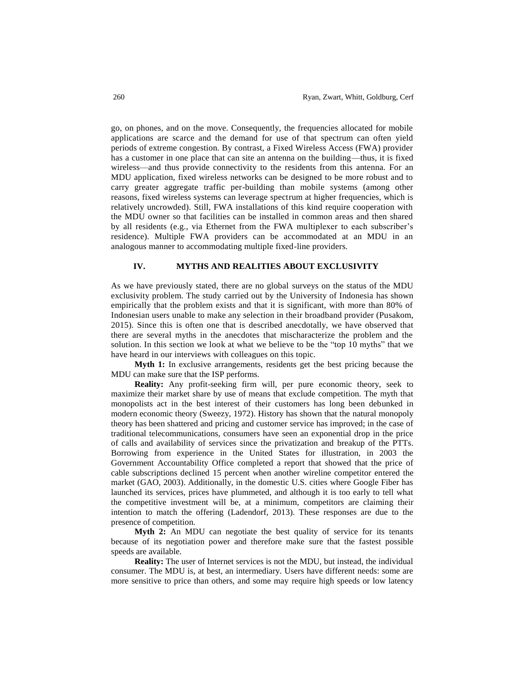go, on phones, and on the move. Consequently, the frequencies allocated for mobile applications are scarce and the demand for use of that spectrum can often yield periods of extreme congestion. By contrast, a Fixed Wireless Access (FWA) provider has a customer in one place that can site an antenna on the building—thus, it is fixed wireless—and thus provide connectivity to the residents from this antenna. For an MDU application, fixed wireless networks can be designed to be more robust and to carry greater aggregate traffic per-building than mobile systems (among other reasons, fixed wireless systems can leverage spectrum at higher frequencies, which is relatively uncrowded). Still, FWA installations of this kind require cooperation with the MDU owner so that facilities can be installed in common areas and then shared by all residents (e.g., via Ethernet from the FWA multiplexer to each subscriber's residence). Multiple FWA providers can be accommodated at an MDU in an analogous manner to accommodating multiple fixed-line providers.

#### **IV. MYTHS AND REALITIES ABOUT EXCLUSIVITY**

As we have previously stated, there are no global surveys on the status of the MDU exclusivity problem. The study carried out by the University of Indonesia has shown empirically that the problem exists and that it is significant, with more than 80% of Indonesian users unable to make any selection in their broadband provider (Pusakom, 2015). Since this is often one that is described anecdotally, we have observed that there are several myths in the anecdotes that mischaracterize the problem and the solution. In this section we look at what we believe to be the "top 10 myths" that we have heard in our interviews with colleagues on this topic.

**Myth 1:** In exclusive arrangements, residents get the best pricing because the MDU can make sure that the ISP performs.

**Reality:** Any profit-seeking firm will, per pure economic theory, seek to maximize their market share by use of means that exclude competition. The myth that monopolists act in the best interest of their customers has long been debunked in modern economic theory (Sweezy, 1972). History has shown that the natural monopoly theory has been shattered and pricing and customer service has improved; in the case of traditional telecommunications, consumers have seen an exponential drop in the price of calls and availability of services since the privatization and breakup of the PTTs. Borrowing from experience in the United States for illustration, in 2003 the Government Accountability Office completed a report that showed that the price of cable subscriptions declined 15 percent when another wireline competitor entered the market (GAO, 2003). Additionally, in the domestic U.S. cities where Google Fiber has launched its services, prices have plummeted, and although it is too early to tell what the competitive investment will be, at a minimum, competitors are claiming their intention to match the offering (Ladendorf, 2013). These responses are due to the presence of competition.

**Myth 2:** An MDU can negotiate the best quality of service for its tenants because of its negotiation power and therefore make sure that the fastest possible speeds are available.

**Reality:** The user of Internet services is not the MDU, but instead, the individual consumer. The MDU is, at best, an intermediary. Users have different needs: some are more sensitive to price than others, and some may require high speeds or low latency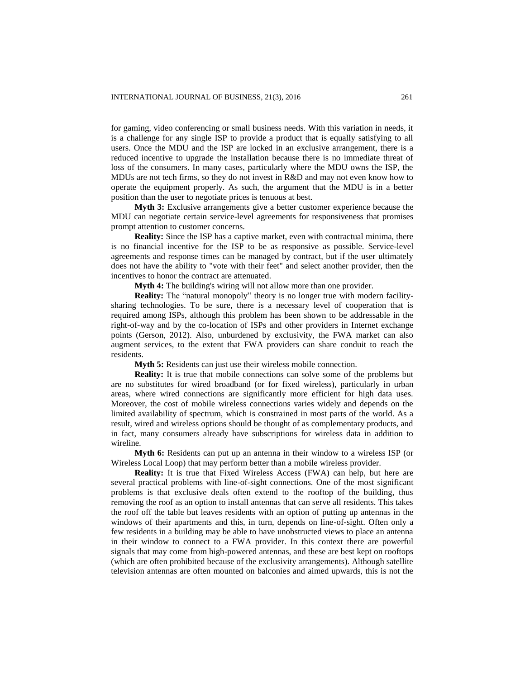for gaming, video conferencing or small business needs. With this variation in needs, it is a challenge for any single ISP to provide a product that is equally satisfying to all users. Once the MDU and the ISP are locked in an exclusive arrangement, there is a reduced incentive to upgrade the installation because there is no immediate threat of loss of the consumers. In many cases, particularly where the MDU owns the ISP, the MDUs are not tech firms, so they do not invest in R&D and may not even know how to operate the equipment properly. As such, the argument that the MDU is in a better position than the user to negotiate prices is tenuous at best.

**Myth 3:** Exclusive arrangements give a better customer experience because the MDU can negotiate certain service-level agreements for responsiveness that promises prompt attention to customer concerns.

**Reality:** Since the ISP has a captive market, even with contractual minima, there is no financial incentive for the ISP to be as responsive as possible. Service-level agreements and response times can be managed by contract, but if the user ultimately does not have the ability to "vote with their feet" and select another provider, then the incentives to honor the contract are attenuated.

**Myth 4:** The building's wiring will not allow more than one provider.

**Reality:** The "natural monopoly" theory is no longer true with modern facilitysharing technologies. To be sure, there is a necessary level of cooperation that is required among ISPs, although this problem has been shown to be addressable in the right-of-way and by the co-location of ISPs and other providers in Internet exchange points (Gerson, 2012). Also, unburdened by exclusivity, the FWA market can also augment services, to the extent that FWA providers can share conduit to reach the residents.

**Myth 5:** Residents can just use their wireless mobile connection.

**Reality:** It is true that mobile connections can solve some of the problems but are no substitutes for wired broadband (or for fixed wireless), particularly in urban areas, where wired connections are significantly more efficient for high data uses. Moreover, the cost of mobile wireless connections varies widely and depends on the limited availability of spectrum, which is constrained in most parts of the world. As a result, wired and wireless options should be thought of as complementary products, and in fact, many consumers already have subscriptions for wireless data in addition to wireline.

**Myth 6:** Residents can put up an antenna in their window to a wireless ISP (or Wireless Local Loop) that may perform better than a mobile wireless provider.

**Reality:** It is true that Fixed Wireless Access (FWA) can help, but here are several practical problems with line-of-sight connections. One of the most significant problems is that exclusive deals often extend to the rooftop of the building, thus removing the roof as an option to install antennas that can serve all residents. This takes the roof off the table but leaves residents with an option of putting up antennas in the windows of their apartments and this, in turn, depends on line-of-sight. Often only a few residents in a building may be able to have unobstructed views to place an antenna in their window to connect to a FWA provider. In this context there are powerful signals that may come from high-powered antennas, and these are best kept on rooftops (which are often prohibited because of the exclusivity arrangements). Although satellite television antennas are often mounted on balconies and aimed upwards, this is not the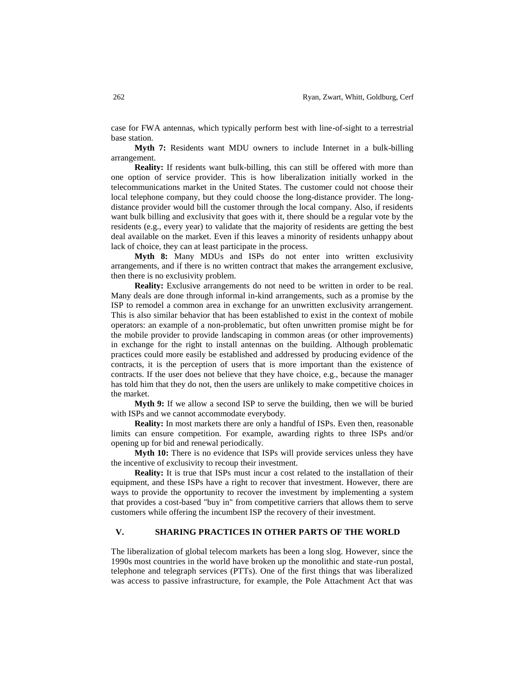case for FWA antennas, which typically perform best with line-of-sight to a terrestrial base station.

**Myth 7:** Residents want MDU owners to include Internet in a bulk-billing arrangement.

**Reality:** If residents want bulk-billing, this can still be offered with more than one option of service provider. This is how liberalization initially worked in the telecommunications market in the United States. The customer could not choose their local telephone company, but they could choose the long-distance provider. The longdistance provider would bill the customer through the local company. Also, if residents want bulk billing and exclusivity that goes with it, there should be a regular vote by the residents (e.g., every year) to validate that the majority of residents are getting the best deal available on the market. Even if this leaves a minority of residents unhappy about lack of choice, they can at least participate in the process.

**Myth 8:** Many MDUs and ISPs do not enter into written exclusivity arrangements, and if there is no written contract that makes the arrangement exclusive, then there is no exclusivity problem.

**Reality:** Exclusive arrangements do not need to be written in order to be real. Many deals are done through informal in-kind arrangements, such as a promise by the ISP to remodel a common area in exchange for an unwritten exclusivity arrangement. This is also similar behavior that has been established to exist in the context of mobile operators: an example of a non-problematic, but often unwritten promise might be for the mobile provider to provide landscaping in common areas (or other improvements) in exchange for the right to install antennas on the building. Although problematic practices could more easily be established and addressed by producing evidence of the contracts, it is the perception of users that is more important than the existence of contracts. If the user does not believe that they have choice, e.g., because the manager has told him that they do not, then the users are unlikely to make competitive choices in the market.

**Myth 9:** If we allow a second ISP to serve the building, then we will be buried with ISPs and we cannot accommodate everybody.

**Reality:** In most markets there are only a handful of ISPs. Even then, reasonable limits can ensure competition. For example, awarding rights to three ISPs and/or opening up for bid and renewal periodically.

**Myth 10:** There is no evidence that ISPs will provide services unless they have the incentive of exclusivity to recoup their investment.

**Reality:** It is true that ISPs must incur a cost related to the installation of their equipment, and these ISPs have a right to recover that investment. However, there are ways to provide the opportunity to recover the investment by implementing a system that provides a cost-based "buy in" from competitive carriers that allows them to serve customers while offering the incumbent ISP the recovery of their investment.

## **V. SHARING PRACTICES IN OTHER PARTS OF THE WORLD**

The liberalization of global telecom markets has been a long slog. However, since the 1990s most countries in the world have broken up the monolithic and state-run postal, telephone and telegraph services (PTTs). One of the first things that was liberalized was access to passive infrastructure, for example, the Pole Attachment Act that was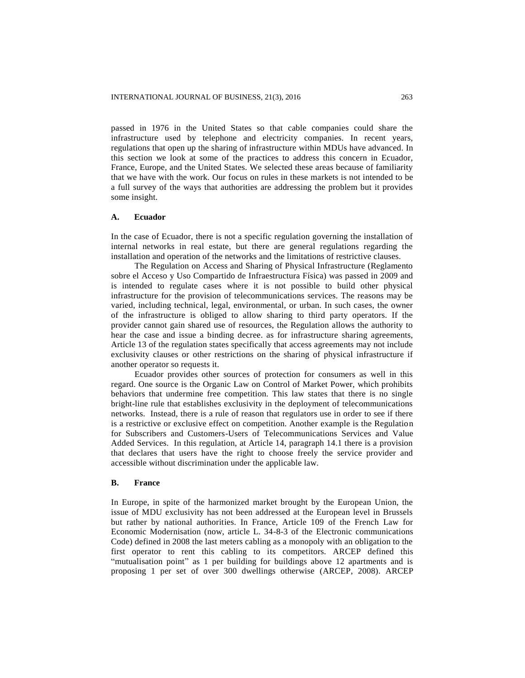passed in 1976 in the United States so that cable companies could share the infrastructure used by telephone and electricity companies. In recent years, regulations that open up the sharing of infrastructure within MDUs have advanced. In this section we look at some of the practices to address this concern in Ecuador, France, Europe, and the United States. We selected these areas because of familiarity that we have with the work. Our focus on rules in these markets is not intended to be a full survey of the ways that authorities are addressing the problem but it provides some insight.

#### **A. Ecuador**

In the case of Ecuador, there is not a specific regulation governing the installation of internal networks in real estate, but there are general regulations regarding the installation and operation of the networks and the limitations of restrictive clauses.

The Regulation on Access and Sharing of Physical Infrastructure (Reglamento sobre el Acceso y Uso Compartido de Infraestructura Física) was passed in 2009 and is intended to regulate cases where it is not possible to build other physical infrastructure for the provision of telecommunications services. The reasons may be varied, including technical, legal, environmental, or urban. In such cases, the owner of the infrastructure is obliged to allow sharing to third party operators. If the provider cannot gain shared use of resources, the Regulation allows the authority to hear the case and issue a binding decree. as for infrastructure sharing agreements, Article 13 of the regulation states specifically that access agreements may not include exclusivity clauses or other restrictions on the sharing of physical infrastructure if another operator so requests it.

Ecuador provides other sources of protection for consumers as well in this regard. One source is the Organic Law on Control of Market Power, which prohibits behaviors that undermine free competition. This law states that there is no single bright-line rule that establishes exclusivity in the deployment of telecommunications networks. Instead, there is a rule of reason that regulators use in order to see if there is a restrictive or exclusive effect on competition. Another example is the Regulation for Subscribers and Customers-Users of Telecommunications Services and Value Added Services. In this regulation, at Article 14, paragraph 14.1 there is a provision that declares that users have the right to choose freely the service provider and accessible without discrimination under the applicable law.

#### **B. France**

In Europe, in spite of the harmonized market brought by the European Union, the issue of MDU exclusivity has not been addressed at the European level in Brussels but rather by national authorities. In France, Article 109 of the French Law for Economic Modernisation (now, article L. 34-8-3 of the Electronic communications Code) defined in 2008 the last meters cabling as a monopoly with an obligation to the first operator to rent this cabling to its competitors. ARCEP defined this "mutualisation point" as 1 per building for buildings above 12 apartments and is proposing 1 per set of over 300 dwellings otherwise (ARCEP, 2008). ARCEP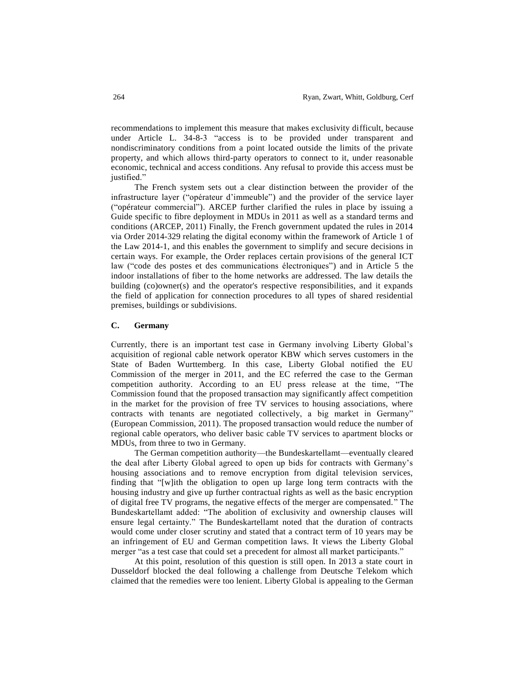recommendations to implement this measure that makes exclusivity difficult, because under Article L. 34-8-3 "access is to be provided under transparent and nondiscriminatory conditions from a point located outside the limits of the private property, and which allows third-party operators to connect to it, under reasonable economic, technical and access conditions. Any refusal to provide this access must be justified."

The French system sets out a clear distinction between the provider of the infrastructure layer ("opérateur d'immeuble") and the provider of the service layer ("opérateur commercial"). ARCEP further clarified the rules in place by issuing a Guide specific to fibre deployment in MDUs in 2011 as well as a standard terms and conditions (ARCEP, 2011) Finally, the French government updated the rules in 2014 via Order 2014-329 relating the digital economy within the framework of Article 1 of the Law 2014-1, and this enables the government to simplify and secure decisions in certain ways. For example, the Order replaces certain provisions of the general ICT law ("code des postes et des communications électroniques") and in Article 5 the indoor installations of fiber to the home networks are addressed. The law details the building (co)owner(s) and the operator's respective responsibilities, and it expands the field of application for connection procedures to all types of shared residential premises, buildings or subdivisions.

## **C. Germany**

Currently, there is an important test case in Germany involving Liberty Global's acquisition of regional cable network operator KBW which serves customers in the State of Baden Wurttemberg. In this case, Liberty Global notified the EU Commission of the merger in 2011, and the EC referred the case to the German competition authority. According to an EU press release at the time, "The Commission found that the proposed transaction may significantly affect competition in the market for the provision of free TV services to housing associations, where contracts with tenants are negotiated collectively, a big market in Germany" (European Commission, 2011). The proposed transaction would reduce the number of regional cable operators, who deliver basic cable TV services to apartment blocks or MDUs, from three to two in Germany.

The German competition authority—the Bundeskartellamt—eventually cleared the deal after Liberty Global agreed to open up bids for contracts with Germany's housing associations and to remove encryption from digital television services, finding that "[w]ith the obligation to open up large long term contracts with the housing industry and give up further contractual rights as well as the basic encryption of digital free TV programs, the negative effects of the merger are compensated." The Bundeskartellamt added: "The abolition of exclusivity and ownership clauses will ensure legal certainty." The Bundeskartellamt noted that the duration of contracts would come under closer scrutiny and stated that a contract term of 10 years may be an infringement of EU and German competition laws. It views the Liberty Global merger "as a test case that could set a precedent for almost all market participants."

At this point, resolution of this question is still open. In 2013 a state court in Dusseldorf blocked the deal following a challenge from Deutsche Telekom which claimed that the remedies were too lenient. Liberty Global is appealing to the German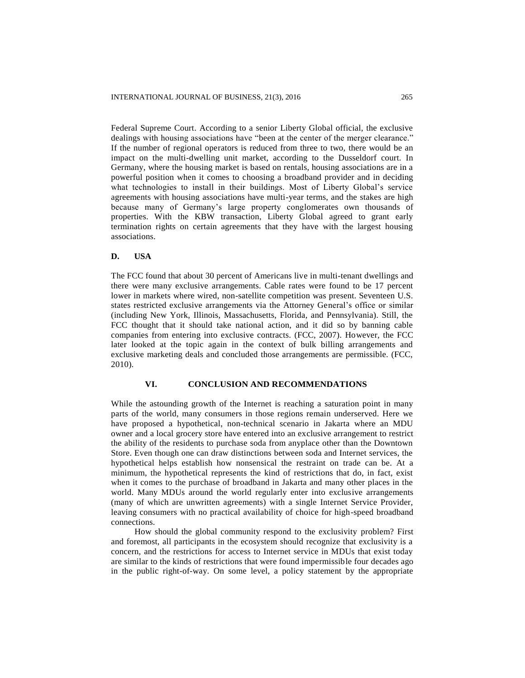Federal Supreme Court. According to a senior Liberty Global official, the exclusive dealings with housing associations have "been at the center of the merger clearance." If the number of regional operators is reduced from three to two, there would be an impact on the multi-dwelling unit market, according to the Dusseldorf court. In Germany, where the housing market is based on rentals, housing associations are in a powerful position when it comes to choosing a broadband provider and in deciding what technologies to install in their buildings. Most of Liberty Global's service agreements with housing associations have multi-year terms, and the stakes are high because many of Germany's large property conglomerates own thousands of properties. With the KBW transaction, Liberty Global agreed to grant early termination rights on certain agreements that they have with the largest housing associations.

## **D. USA**

The FCC found that about 30 percent of Americans live in multi-tenant dwellings and there were many exclusive arrangements. Cable rates were found to be 17 percent lower in markets where wired, non-satellite competition was present. Seventeen U.S. states restricted exclusive arrangements via the Attorney General's office or similar (including New York, Illinois, Massachusetts, Florida, and Pennsylvania). Still, the FCC thought that it should take national action, and it did so by banning cable companies from entering into exclusive contracts. (FCC, 2007). However, the FCC later looked at the topic again in the context of bulk billing arrangements and exclusive marketing deals and concluded those arrangements are permissible. (FCC, 2010).

#### **VI. CONCLUSION AND RECOMMENDATIONS**

While the astounding growth of the Internet is reaching a saturation point in many parts of the world, many consumers in those regions remain underserved. Here we have proposed a hypothetical, non-technical scenario in Jakarta where an MDU owner and a local grocery store have entered into an exclusive arrangement to restrict the ability of the residents to purchase soda from anyplace other than the Downtown Store. Even though one can draw distinctions between soda and Internet services, the hypothetical helps establish how nonsensical the restraint on trade can be. At a minimum, the hypothetical represents the kind of restrictions that do, in fact, exist when it comes to the purchase of broadband in Jakarta and many other places in the world. Many MDUs around the world regularly enter into exclusive arrangements (many of which are unwritten agreements) with a single Internet Service Provider, leaving consumers with no practical availability of choice for high-speed broadband connections.

How should the global community respond to the exclusivity problem? First and foremost, all participants in the ecosystem should recognize that exclusivity is a concern, and the restrictions for access to Internet service in MDUs that exist today are similar to the kinds of restrictions that were found impermissible four decades ago in the public right-of-way. On some level, a policy statement by the appropriate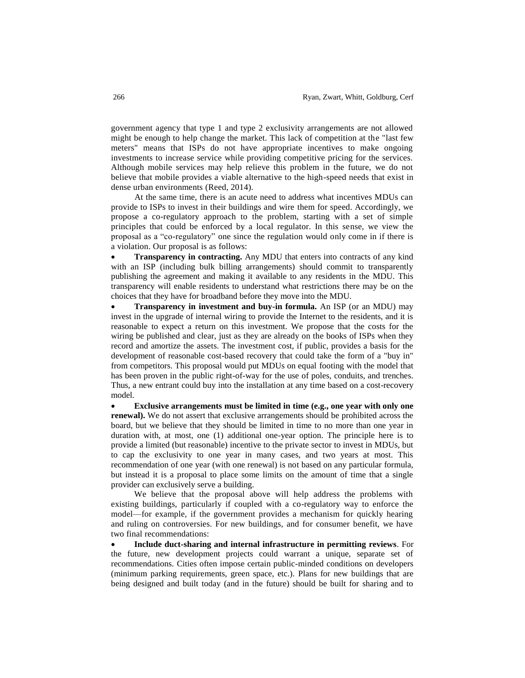government agency that type 1 and type 2 exclusivity arrangements are not allowed might be enough to help change the market. This lack of competition at the "last few meters" means that ISPs do not have appropriate incentives to make ongoing investments to increase service while providing competitive pricing for the services. Although mobile services may help relieve this problem in the future, we do not believe that mobile provides a viable alternative to the high-speed needs that exist in dense urban environments (Reed, 2014).

At the same time, there is an acute need to address what incentives MDUs can provide to ISPs to invest in their buildings and wire them for speed. Accordingly, we propose a co-regulatory approach to the problem, starting with a set of simple principles that could be enforced by a local regulator. In this sense, we view the proposal as a "co-regulatory" one since the regulation would only come in if there is a violation. Our proposal is as follows:

 **Transparency in contracting.** Any MDU that enters into contracts of any kind with an ISP (including bulk billing arrangements) should commit to transparently publishing the agreement and making it available to any residents in the MDU. This transparency will enable residents to understand what restrictions there may be on the choices that they have for broadband before they move into the MDU.

 **Transparency in investment and buy-in formula.** An ISP (or an MDU) may invest in the upgrade of internal wiring to provide the Internet to the residents, and it is reasonable to expect a return on this investment. We propose that the costs for the wiring be published and clear, just as they are already on the books of ISPs when they record and amortize the assets. The investment cost, if public, provides a basis for the development of reasonable cost-based recovery that could take the form of a "buy in" from competitors. This proposal would put MDUs on equal footing with the model that has been proven in the public right-of-way for the use of poles, conduits, and trenches. Thus, a new entrant could buy into the installation at any time based on a cost-recovery model.

 **Exclusive arrangements must be limited in time (e.g., one year with only one renewal).** We do not assert that exclusive arrangements should be prohibited across the board, but we believe that they should be limited in time to no more than one year in duration with, at most, one (1) additional one-year option. The principle here is to provide a limited (but reasonable) incentive to the private sector to invest in MDUs, but to cap the exclusivity to one year in many cases, and two years at most. This recommendation of one year (with one renewal) is not based on any particular formula, but instead it is a proposal to place some limits on the amount of time that a single provider can exclusively serve a building.

We believe that the proposal above will help address the problems with existing buildings, particularly if coupled with a co-regulatory way to enforce the model—for example, if the government provides a mechanism for quickly hearing and ruling on controversies. For new buildings, and for consumer benefit, we have two final recommendations:

 **Include duct-sharing and internal infrastructure in permitting reviews**. For the future, new development projects could warrant a unique, separate set of recommendations. Cities often impose certain public-minded conditions on developers (minimum parking requirements, green space, etc.). Plans for new buildings that are being designed and built today (and in the future) should be built for sharing and to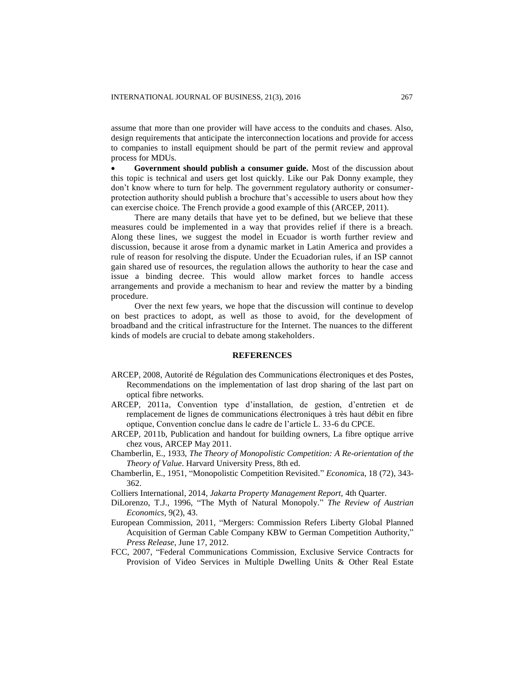assume that more than one provider will have access to the conduits and chases. Also, design requirements that anticipate the interconnection locations and provide for access to companies to install equipment should be part of the permit review and approval process for MDUs.

 **Government should publish a consumer guide.** Most of the discussion about this topic is technical and users get lost quickly. Like our Pak Donny example, they don't know where to turn for help. The government regulatory authority or consumerprotection authority should publish a brochure that's accessible to users about how they can exercise choice. The French provide a good example of this (ARCEP, 2011).

There are many details that have yet to be defined, but we believe that these measures could be implemented in a way that provides relief if there is a breach. Along these lines, we suggest the model in Ecuador is worth further review and discussion, because it arose from a dynamic market in Latin America and provides a rule of reason for resolving the dispute. Under the Ecuadorian rules, if an ISP cannot gain shared use of resources, the regulation allows the authority to hear the case and issue a binding decree. This would allow market forces to handle access arrangements and provide a mechanism to hear and review the matter by a binding procedure.

Over the next few years, we hope that the discussion will continue to develop on best practices to adopt, as well as those to avoid, for the development of broadband and the critical infrastructure for the Internet. The nuances to the different kinds of models are crucial to debate among stakeholders.

#### **REFERENCES**

- ARCEP, 2008, Autorité de Régulation des Communications électroniques et des Postes, Recommendations on the implementation of last drop sharing of the last part on optical fibre networks.
- ARCEP, 2011a, Convention type d'installation, de gestion, d'entretien et de remplacement de lignes de communications électroniques à très haut débit en fibre optique, Convention conclue dans le cadre de l'article L. 33-6 du CPCE.
- ARCEP, 2011b, Publication and handout for building owners, La fibre optique arrive chez vous, ARCEP May 2011.
- Chamberlin, E., 1933, *The Theory of Monopolistic Competition: A Re-orientation of the Theory of Value*. Harvard University Press*,* 8th ed.
- Chamberlin, E., 1951, "Monopolistic Competition Revisited." *Economic*a, 18 (72), 343- 362.
- Colliers International, 2014, *Jakarta Property Management Report,* 4th Quarter.
- DiLorenzo, T.J., 1996, "The Myth of Natural Monopoly." *The Review of Austrian Economics*, 9(2), 43.
- European Commission, 2011, "Mergers: Commission Refers Liberty Global Planned Acquisition of German Cable Company KBW to German Competition Authority," *Press Release*, June 17, 2012.
- FCC, 2007, "Federal Communications Commission, Exclusive Service Contracts for Provision of Video Services in Multiple Dwelling Units & Other Real Estate